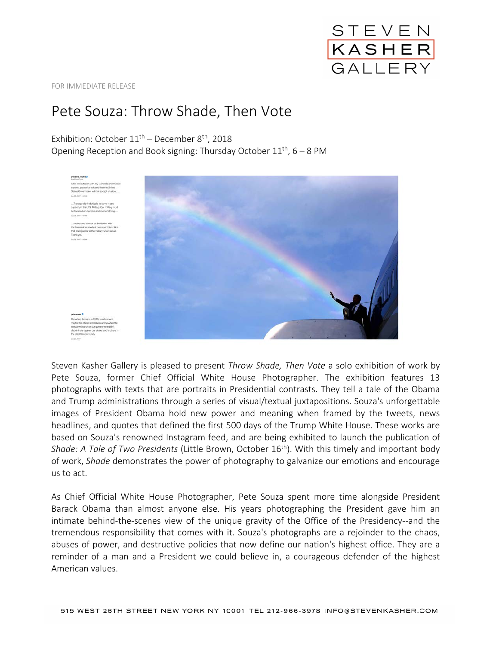

FOR IMMEDIATE RELEASE

## Pete Souza: Throw Shade, Then Vote

Exhibition: October  $11<sup>th</sup>$  – December 8<sup>th</sup>, 2018

Opening Reception and Book signing: Thursday October  $11<sup>th</sup>$ , 6 – 8 PM



Steven Kasher Gallery is pleased to present *Throw Shade, Then Vote* a solo exhibition of work by Pete Souza, former Chief Official White House Photographer. The exhibition features 13 photographs with texts that are portraits in Presidential contrasts. They tell a tale of the Obama and Trump administrations through a series of visual/textual juxtapositions. Souza's unforgettable images of President Obama hold new power and meaning when framed by the tweets, news headlines, and quotes that defined the first 500 days of the Trump White House. These works are based on Souza's renowned Instagram feed, and are being exhibited to launch the publication of *Shade: A Tale of Two Presidents* (Little Brown, October 16<sup>th</sup>). With this timely and important body of work, *Shade* demonstrates the power of photography to galvanize our emotions and encourage us to act.

As Chief Official White House Photographer, Pete Souza spent more time alongside President Barack Obama than almost anyone else. His years photographing the President gave him an intimate behind-the-scenes view of the unique gravity of the Office of the Presidency--and the tremendous responsibility that comes with it. Souza's photographs are a rejoinder to the chaos, abuses of power, and destructive policies that now define our nation's highest office. They are a reminder of a man and a President we could believe in, a courageous defender of the highest American values.